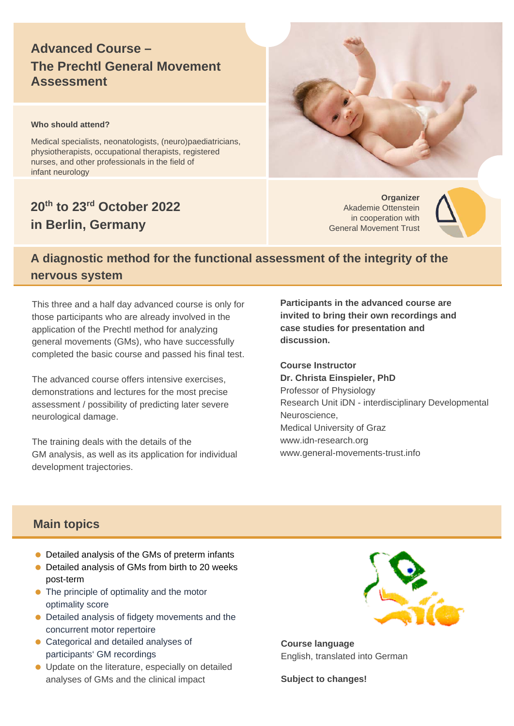# **Advanced Course – The Prechtl General Movement Assessment**

#### **Who should attend?**

Medical specialists, neonatologists, (neuro)paediatricians, physiotherapists, occupational therapists, registered nurses, and other professionals in the field of infant neurology

# **20th to 23rd October 2022 in Berlin, Germany**

**Organizer** Akademie Ottenstein in cooperation with General Movement Trust



# **A diagnostic method for the functional assessment of the integrity of the nervous system**

This three and a half day advanced course is only for those participants who are already involved in the application of the Prechtl method for analyzing general movements (GMs), who have successfully completed the basic course and passed his final test.

The advanced course offers intensive exercises, demonstrations and lectures for the most precise assessment / possibility of predicting later severe neurological damage.

The training deals with the details of the GM analysis, as well as its application for individual development trajectories.

**Participants in the advanced course are invited to bring their own recordings and case studies for presentation and discussion.**

**Course Instructor Dr. Christa Einspieler, PhD** Professor of Physiology Research Unit iDN - interdisciplinary Developmental Neuroscience, Medical University of Graz www.idn-research.org www.general-movements-trust.info

## **Main topics**

- Detailed analysis of the GMs of preterm infants
- Detailed analysis of GMs from birth to 20 weeks post-term
- The principle of optimality and the motor optimality score
- Detailed analysis of fidgety movements and the concurrent motor repertoire
- Categorical and detailed analyses of participants' GM recordings
- Update on the literature, especially on detailed analyses of GMs and the clinical impact



**Course language** English, translated into German

**Subject to changes!**